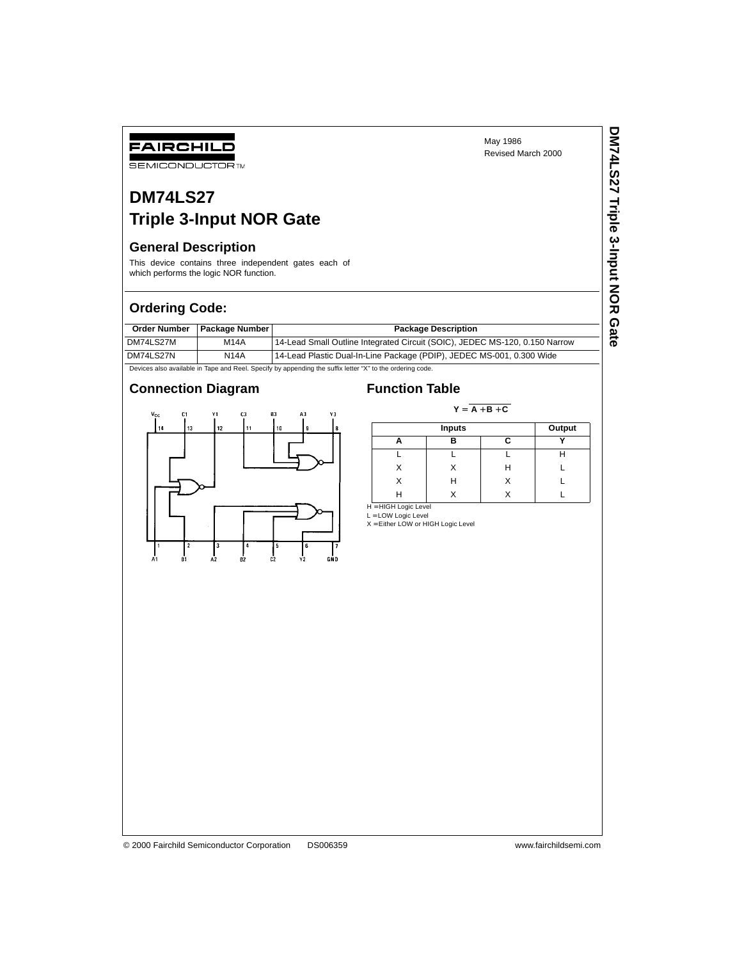**DM74LS27 Triple 3-Input NOR Gate**

DM74LS27 Triple 3-Input NOR Gate

# **DM74LS27**

## **Triple 3-Input NOR Gate**

### **General Description**

FAIRCHILD **SEMICONDUCTOR TM** 

This device contains three independent gates each of which performs the logic NOR function.

### **Ordering Code:**

|           | Order Number   Package Number | <b>Package Description</b>                                                  |
|-----------|-------------------------------|-----------------------------------------------------------------------------|
| DM74LS27M | <b>M14A</b>                   | 14-Lead Small Outline Integrated Circuit (SOIC), JEDEC MS-120, 0.150 Narrow |
| DM74LS27N | <b>N14A</b>                   | 14-Lead Plastic Dual-In-Line Package (PDIP), JEDEC MS-001, 0.300 Wide       |

Devices also available in Tape and Reel. Specify by appending the suffix letter "X" to the ordering code.

### **Connection Diagram Function Table**



 $Y = \overline{A + B + C}$ 

|  | Output |    |  |
|--|--------|----|--|
|  | R      | r. |  |
|  |        |    |  |
|  |        | Н  |  |
|  | Н      |    |  |
|  |        |    |  |

H = HIGH Logic Level

L = LOW Logic Level X = Either LOW or HIGH Logic Level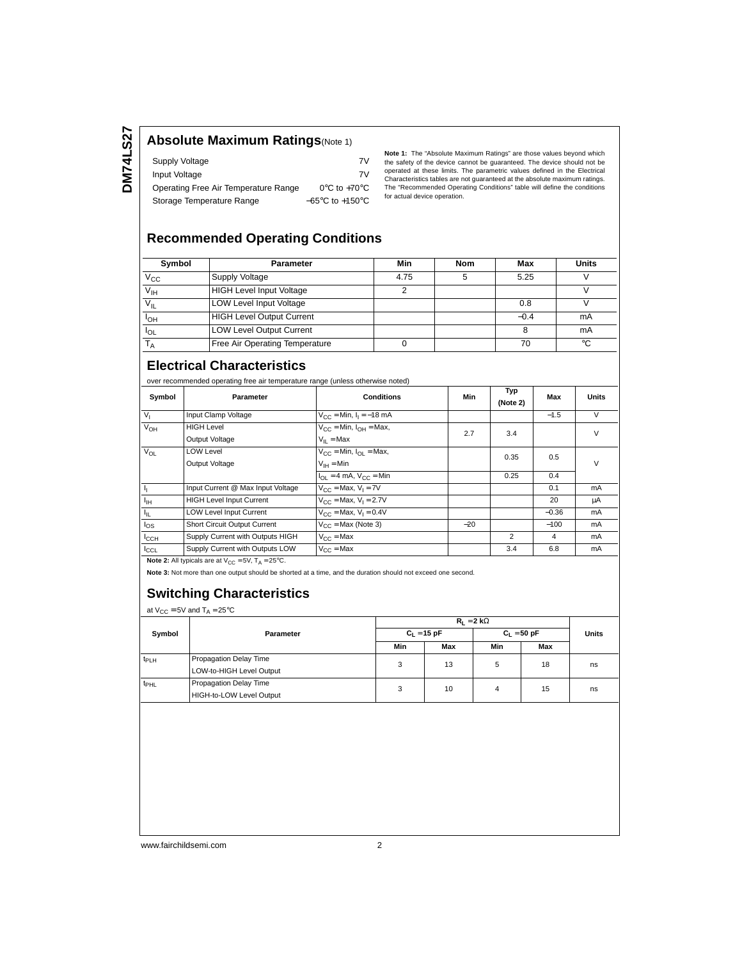### **Absolute Maximum Ratings**(Note 1)

| Supply Voltage                       | 7V                                  |
|--------------------------------------|-------------------------------------|
| Input Voltage                        | 7V                                  |
| Operating Free Air Temperature Range | $0^{\circ}$ C to +70 $^{\circ}$ C   |
| Storage Temperature Range            | $-65^{\circ}$ C to $+150^{\circ}$ C |

**Note 1:** The "Absolute Maximum Ratings" are those values beyond which the safety of the device cannot be guaranteed. The device should not be operated at these limits. The parametric values defined in the Electrical Characteristics tables are not guaranteed at the absolute maximum ratings. The "Recommended Operating Conditions" table will define the conditions for actual device operation.

### **Recommended Operating Conditions**

| Symbol          | <b>Parameter</b>                 | Min  | Nom | Max    | <b>Units</b> |
|-----------------|----------------------------------|------|-----|--------|--------------|
| $V_{\rm CC}$    | <b>Supply Voltage</b>            | 4.75 |     | 5.25   |              |
| $V_{\text{IH}}$ | <b>HIGH Level Input Voltage</b>  |      |     |        |              |
| $V_{IL}$        | <b>LOW Level Input Voltage</b>   |      |     | 0.8    |              |
| <sup>I</sup> OH | <b>HIGH Level Output Current</b> |      |     | $-0.4$ | mA           |
| $I_{OL}$        | <b>LOW Level Output Current</b>  |      |     |        | mA           |
|                 | Free Air Operating Temperature   |      |     | 70     | °C           |

### **Electrical Characteristics**

over recommended operating free air temperature range (unless otherwise noted)

| Symbol           | Parameter                                                                | <b>Conditions</b>                                             | Min   | Typ<br>(Note 2) | Max            | Units  |
|------------------|--------------------------------------------------------------------------|---------------------------------------------------------------|-------|-----------------|----------------|--------|
| V <sub>1</sub>   | Input Clamp Voltage                                                      | $V_{CC}$ = Min, $I_1$ = -18 mA                                |       |                 | $-1.5$         | V      |
| $V_{OH}$         | <b>HIGH Level</b>                                                        | $V_{CC}$ = Min, $I_{OH}$ = Max,                               | 2.7   | 3.4             |                | $\vee$ |
|                  | Output Voltage                                                           | $V_{II}$ = Max                                                |       |                 |                |        |
| $V_{OL}$         | <b>LOW Level</b>                                                         | $V_{CC}$ = Min, $I_{CI}$ = Max,                               |       | 0.35            | 0.5            | $\vee$ |
|                  | Output Voltage                                                           | $V_{IH} = Min$                                                |       |                 |                |        |
|                  |                                                                          | $I_{\text{OL}} = 4 \text{ mA}$ , $V_{\text{CC}} = \text{Min}$ |       | 0.25            | 0.4            |        |
| 4                | Input Current @ Max Input Voltage                                        | $V_{CC}$ = Max, $V_1$ = 7V                                    |       |                 | 0.1            | mA     |
| $I_{\text{IH}}$  | <b>HIGH Level Input Current</b>                                          | $V_{CC}$ = Max, $V_1$ = 2.7V                                  |       |                 | 20             | μA     |
| Iμ.              | <b>LOW Level Input Current</b>                                           | $V_{CC}$ = Max, $V_1$ = 0.4V                                  |       |                 | $-0.36$        | mA     |
| $I_{OS}$         | <b>Short Circuit Output Current</b>                                      | $V_{CC}$ = Max (Note 3)                                       | $-20$ |                 | $-100$         | mA     |
| $I_{\text{CCH}}$ | Supply Current with Outputs HIGH                                         | $V_{C}$ = Max                                                 |       | $\overline{2}$  | $\overline{a}$ | mA     |
| ICCL             | Supply Current with Outputs LOW                                          | $V_{C}C = Max$                                                |       | 3.4             | 6.8            | mA     |
|                  | <b>Note 2:</b> All typicals are at $V_{CC} = 5V$ , $T_A = 25^{\circ}C$ . |                                                               |       |                 |                |        |

**Note 3:** Not more than one output should be shorted at a time, and the duration should not exceed one second.

### **Switching Characteristics**

at  $V_{CC} = 5V$  and  $T_A = 25^{\circ}C$ 

|                  | Parameter                                          | $R_1 = 2 k\Omega$ |     |               |     |              |
|------------------|----------------------------------------------------|-------------------|-----|---------------|-----|--------------|
| Symbol           |                                                    | $C_1 = 15 pF$     |     | $C_1 = 50 pF$ |     | <b>Units</b> |
|                  |                                                    | Min               | Max | Min           | Max |              |
| t <sub>PLH</sub> | Propagation Delay Time<br>LOW-to-HIGH Level Output | 3                 | 13  | 5             | 18  | ns           |
| $t_{\sf PHL}$    | Propagation Delay Time<br>HIGH-to-LOW Level Output | 3                 | 10  | 4             | 15  | ns           |

www.fairchildsemi.com 2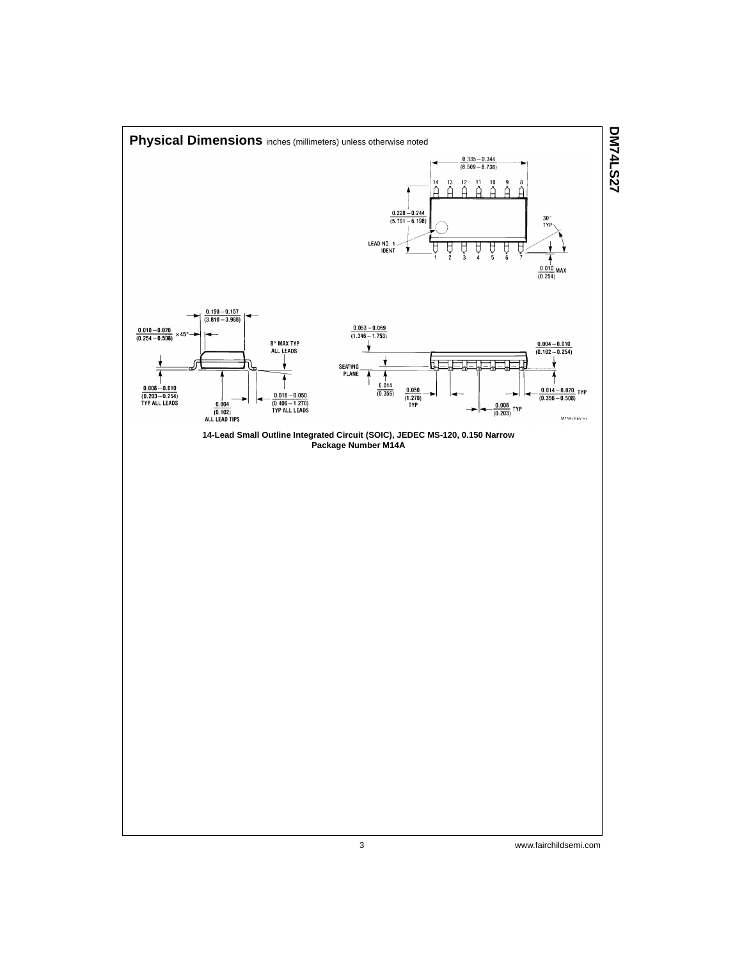